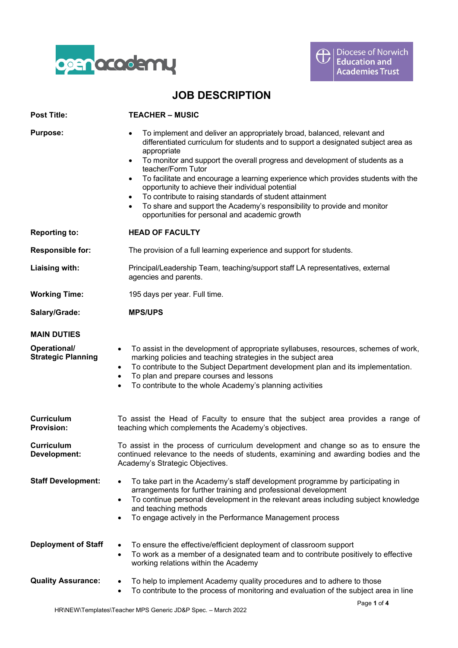

## **JOB DESCRIPTION**

| <b>Post Title:</b>                        | <b>TEACHER – MUSIC</b>                                                                                                                                                                                                                                                                                                                                                                                                                                                                                                                                                                                                                                                      |  |
|-------------------------------------------|-----------------------------------------------------------------------------------------------------------------------------------------------------------------------------------------------------------------------------------------------------------------------------------------------------------------------------------------------------------------------------------------------------------------------------------------------------------------------------------------------------------------------------------------------------------------------------------------------------------------------------------------------------------------------------|--|
| <b>Purpose:</b>                           | To implement and deliver an appropriately broad, balanced, relevant and<br>differentiated curriculum for students and to support a designated subject area as<br>appropriate<br>To monitor and support the overall progress and development of students as a<br>$\bullet$<br>teacher/Form Tutor<br>To facilitate and encourage a learning experience which provides students with the<br>$\bullet$<br>opportunity to achieve their individual potential<br>To contribute to raising standards of student attainment<br>$\bullet$<br>To share and support the Academy's responsibility to provide and monitor<br>$\bullet$<br>opportunities for personal and academic growth |  |
| <b>Reporting to:</b>                      | <b>HEAD OF FACULTY</b>                                                                                                                                                                                                                                                                                                                                                                                                                                                                                                                                                                                                                                                      |  |
| <b>Responsible for:</b>                   | The provision of a full learning experience and support for students.                                                                                                                                                                                                                                                                                                                                                                                                                                                                                                                                                                                                       |  |
| Liaising with:                            | Principal/Leadership Team, teaching/support staff LA representatives, external<br>agencies and parents.                                                                                                                                                                                                                                                                                                                                                                                                                                                                                                                                                                     |  |
| <b>Working Time:</b>                      | 195 days per year. Full time.                                                                                                                                                                                                                                                                                                                                                                                                                                                                                                                                                                                                                                               |  |
| Salary/Grade:                             | <b>MPS/UPS</b>                                                                                                                                                                                                                                                                                                                                                                                                                                                                                                                                                                                                                                                              |  |
| <b>MAIN DUTIES</b>                        |                                                                                                                                                                                                                                                                                                                                                                                                                                                                                                                                                                                                                                                                             |  |
| Operational/<br><b>Strategic Planning</b> | To assist in the development of appropriate syllabuses, resources, schemes of work,<br>$\bullet$<br>marking policies and teaching strategies in the subject area<br>To contribute to the Subject Department development plan and its implementation.<br>$\bullet$<br>To plan and prepare courses and lessons<br>$\bullet$<br>To contribute to the whole Academy's planning activities<br>$\bullet$                                                                                                                                                                                                                                                                          |  |
| Curriculum<br><b>Provision:</b>           | To assist the Head of Faculty to ensure that the subject area provides a range of<br>teaching which complements the Academy's objectives.                                                                                                                                                                                                                                                                                                                                                                                                                                                                                                                                   |  |
| Curriculum<br>Development:                | To assist in the process of curriculum development and change so as to ensure the<br>continued relevance to the needs of students, examining and awarding bodies and the<br>Academy's Strategic Objectives.                                                                                                                                                                                                                                                                                                                                                                                                                                                                 |  |
| <b>Staff Development:</b>                 | To take part in the Academy's staff development programme by participating in<br>arrangements for further training and professional development<br>To continue personal development in the relevant areas including subject knowledge<br>and teaching methods<br>To engage actively in the Performance Management process                                                                                                                                                                                                                                                                                                                                                   |  |
| <b>Deployment of Staff</b>                | To ensure the effective/efficient deployment of classroom support<br>$\bullet$<br>To work as a member of a designated team and to contribute positively to effective<br>$\bullet$<br>working relations within the Academy                                                                                                                                                                                                                                                                                                                                                                                                                                                   |  |
| <b>Quality Assurance:</b>                 | To help to implement Academy quality procedures and to adhere to those<br>٠<br>To contribute to the process of monitoring and evaluation of the subject area in line<br>٠                                                                                                                                                                                                                                                                                                                                                                                                                                                                                                   |  |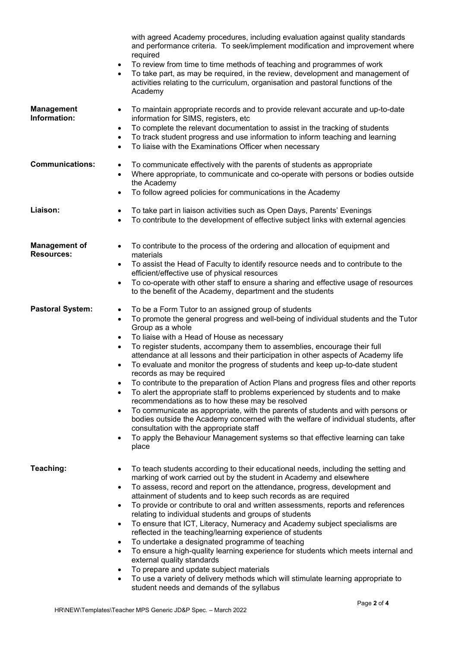|                                           | with agreed Academy procedures, including evaluation against quality standards<br>and performance criteria. To seek/implement modification and improvement where<br>required<br>To review from time to time methods of teaching and programmes of work<br>$\bullet$<br>To take part, as may be required, in the review, development and management of<br>activities relating to the curriculum, organisation and pastoral functions of the<br>Academy                                                                                                                                                                                                                                                                                                                                                                                                                                                                                                                                                                                                                                                            |  |
|-------------------------------------------|------------------------------------------------------------------------------------------------------------------------------------------------------------------------------------------------------------------------------------------------------------------------------------------------------------------------------------------------------------------------------------------------------------------------------------------------------------------------------------------------------------------------------------------------------------------------------------------------------------------------------------------------------------------------------------------------------------------------------------------------------------------------------------------------------------------------------------------------------------------------------------------------------------------------------------------------------------------------------------------------------------------------------------------------------------------------------------------------------------------|--|
| <b>Management</b><br>Information:         | To maintain appropriate records and to provide relevant accurate and up-to-date<br>$\bullet$<br>information for SIMS, registers, etc<br>To complete the relevant documentation to assist in the tracking of students<br>$\bullet$<br>To track student progress and use information to inform teaching and learning<br>$\bullet$<br>To liaise with the Examinations Officer when necessary<br>$\bullet$                                                                                                                                                                                                                                                                                                                                                                                                                                                                                                                                                                                                                                                                                                           |  |
| <b>Communications:</b>                    | To communicate effectively with the parents of students as appropriate<br>$\bullet$<br>Where appropriate, to communicate and co-operate with persons or bodies outside<br>$\bullet$<br>the Academy<br>To follow agreed policies for communications in the Academy<br>$\bullet$                                                                                                                                                                                                                                                                                                                                                                                                                                                                                                                                                                                                                                                                                                                                                                                                                                   |  |
| Liaison:                                  | To take part in liaison activities such as Open Days, Parents' Evenings<br>$\bullet$<br>To contribute to the development of effective subject links with external agencies<br>$\bullet$                                                                                                                                                                                                                                                                                                                                                                                                                                                                                                                                                                                                                                                                                                                                                                                                                                                                                                                          |  |
| <b>Management of</b><br><b>Resources:</b> | To contribute to the process of the ordering and allocation of equipment and<br>materials<br>To assist the Head of Faculty to identify resource needs and to contribute to the<br>efficient/effective use of physical resources<br>To co-operate with other staff to ensure a sharing and effective usage of resources<br>to the benefit of the Academy, department and the students                                                                                                                                                                                                                                                                                                                                                                                                                                                                                                                                                                                                                                                                                                                             |  |
| <b>Pastoral System:</b>                   | To be a Form Tutor to an assigned group of students<br>$\bullet$<br>To promote the general progress and well-being of individual students and the Tutor<br>$\bullet$<br>Group as a whole<br>To liaise with a Head of House as necessary<br>$\bullet$<br>To register students, accompany them to assemblies, encourage their full<br>attendance at all lessons and their participation in other aspects of Academy life<br>To evaluate and monitor the progress of students and keep up-to-date student<br>records as may be required<br>To contribute to the preparation of Action Plans and progress files and other reports<br>$\bullet$<br>To alert the appropriate staff to problems experienced by students and to make<br>٠<br>recommendations as to how these may be resolved<br>To communicate as appropriate, with the parents of students and with persons or<br>$\bullet$<br>bodies outside the Academy concerned with the welfare of individual students, after<br>consultation with the appropriate staff<br>To apply the Behaviour Management systems so that effective learning can take<br>place |  |
| Teaching:                                 | To teach students according to their educational needs, including the setting and<br>$\bullet$<br>marking of work carried out by the student in Academy and elsewhere<br>To assess, record and report on the attendance, progress, development and<br>$\bullet$<br>attainment of students and to keep such records as are required<br>To provide or contribute to oral and written assessments, reports and references<br>$\bullet$<br>relating to individual students and groups of students<br>To ensure that ICT, Literacy, Numeracy and Academy subject specialisms are<br>$\bullet$<br>reflected in the teaching/learning experience of students<br>To undertake a designated programme of teaching<br>$\bullet$<br>To ensure a high-quality learning experience for students which meets internal and<br>$\bullet$<br>external quality standards<br>To prepare and update subject materials<br>$\bullet$<br>To use a variety of delivery methods which will stimulate learning appropriate to<br>$\bullet$<br>student needs and demands of the syllabus                                                    |  |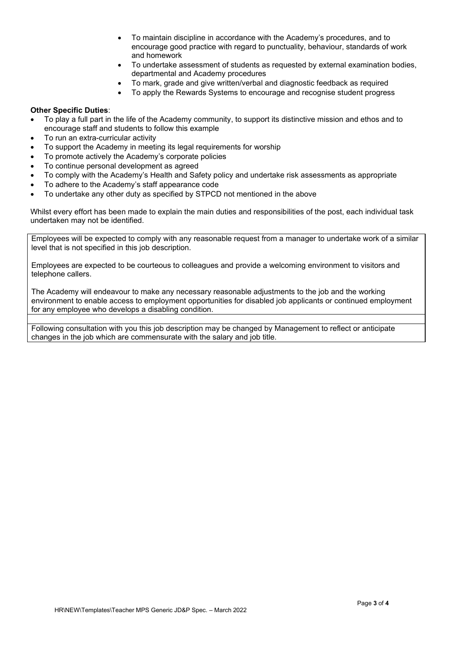- To maintain discipline in accordance with the Academy's procedures, and to encourage good practice with regard to punctuality, behaviour, standards of work and homework
- To undertake assessment of students as requested by external examination bodies, departmental and Academy procedures
- To mark, grade and give written/verbal and diagnostic feedback as required
- To apply the Rewards Systems to encourage and recognise student progress

## **Other Specific Duties**:

- To play a full part in the life of the Academy community, to support its distinctive mission and ethos and to encourage staff and students to follow this example
- To run an extra-curricular activity
- To support the Academy in meeting its legal requirements for worship
- To promote actively the Academy's corporate policies
- To continue personal development as agreed
- To comply with the Academy's Health and Safety policy and undertake risk assessments as appropriate
- To adhere to the Academy's staff appearance code
- To undertake any other duty as specified by STPCD not mentioned in the above

Whilst every effort has been made to explain the main duties and responsibilities of the post, each individual task undertaken may not be identified.

Employees will be expected to comply with any reasonable request from a manager to undertake work of a similar level that is not specified in this job description.

Employees are expected to be courteous to colleagues and provide a welcoming environment to visitors and telephone callers.

The Academy will endeavour to make any necessary reasonable adjustments to the job and the working environment to enable access to employment opportunities for disabled job applicants or continued employment for any employee who develops a disabling condition.

Following consultation with you this job description may be changed by Management to reflect or anticipate changes in the job which are commensurate with the salary and job title.